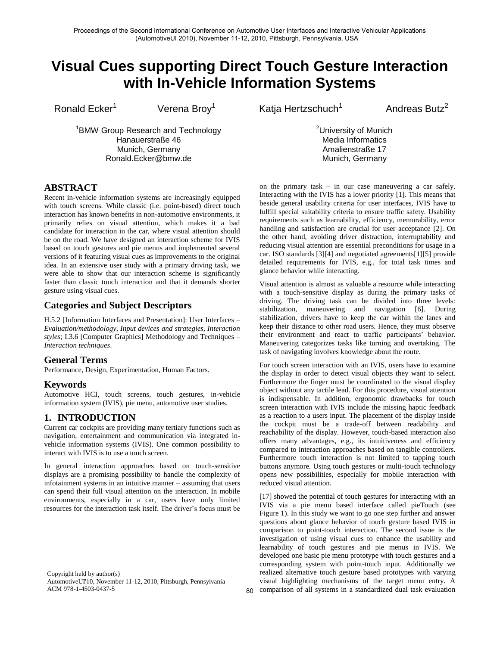# **Visual Cues supporting Direct Touch Gesture Interaction with In-Vehicle Information Systems**

Ronald Ecker<sup>1</sup>

Verena Broy<sup>1</sup>

<sup>1</sup>BMW Group Research and Technology Hanauerstraße 46 Munich, Germany Ronald.Ecker@bmw.de

## **ABSTRACT**

Recent in-vehicle information systems are increasingly equipped with touch screens. While classic (i.e. point-based) direct touch interaction has known benefits in non-automotive environments, it primarily relies on visual attention, which makes it a bad candidate for interaction in the car, where visual attention should be on the road. We have designed an interaction scheme for IVIS based on touch gestures and pie menus and implemented several versions of it featuring visual cues as improvements to the original idea. In an extensive user study with a primary driving task, we were able to show that our interaction scheme is significantly faster than classic touch interaction and that it demands shorter gesture using visual cues.

## **Categories and Subject Descriptors**

H.5.2 [Information Interfaces and Presentation]: User Interfaces – *Evaluation/methodology, Input devices and strategies, Interaction styles*; I.3.6 [Computer Graphics] Methodology and Techniques – *Interaction techniques*.

## **General Terms**

Performance, Design, Experimentation, Human Factors.

# **Keywords**

Automotive HCI, touch screens, touch gestures, in-vehicle information system (IVIS), pie menu, automotive user studies.

# **1. INTRODUCTION**

Current car cockpits are providing many tertiary functions such as navigation, entertainment and communication via integrated invehicle information systems (IVIS). One common possibility to interact with IVIS is to use a touch screen.

In general interaction approaches based on touch-sensitive displays are a promising possibility to handle the complexity of infotainment systems in an intuitive manner – assuming that users can spend their full visual attention on the interaction. In mobile environments, especially in a car, users have only limited resources for the interaction task itself. The driver's focus must be

Katja Hertzschuch<sup>1</sup>

Andreas Butz<sup>2</sup>

<sup>2</sup>University of Munich Media Informatics Amalienstraße 17 Munich, Germany

on the primary task – in our case maneuvering a car safely. Interacting with the IVIS has a lower priority [\[1\].](#page-6-0) This means that beside general usability criteria for user interfaces, IVIS have to fulfill special suitability criteria to ensure traffic safety. Usability requirements such as learnability, efficiency, memorability, error handling and satisfaction are crucial for user acceptance [\[2\].](#page-6-1) On the other hand, avoiding driver distraction, interruptability and reducing visual attention are essential preconditions for usage in a car. ISO standards [\[3\]\[4\]](#page-6-2) and negotiated agreement[s\[1\]\[5\]](#page-6-0) provide detailed requirements for IVIS, e.g., for total task times and glance behavior while interacting.

Visual attention is almost as valuable a resource while interacting with a touch-sensitive display as during the primary tasks of driving. The driving task can be divided into three levels: stabilization, maneuvering and navigation [\[6\].](#page-7-0) During stabilization, drivers have to keep the car within the lanes and keep their distance to other road users. Hence, they must observe their environment and react to traffic participants' behavior. Maneuvering categorizes tasks like turning and overtaking. The task of navigating involves knowledge about the route.

For touch screen interaction with an IVIS, users have to examine the display in order to detect visual objects they want to select. Furthermore the finger must be coordinated to the visual display object without any tactile lead. For this procedure, visual attention is indispensable. In addition, ergonomic drawbacks for touch screen interaction with IVIS include the missing haptic feedback as a reaction to a users input. The placement of the display inside the cockpit must be a trade-off between readability and reachability of the display. However, touch-based interaction also offers many advantages, e.g., its intuitiveness and efficiency compared to interaction approaches based on tangible controllers. Furthermore touch interaction is not limited to tapping touch buttons anymore. Using touch gestures or multi-touch technology opens new possibilities, especially for mobile interaction with reduced visual attention.

[\[17\]](#page-7-1) showed the potential of touch gestures for interacting with an IVIS via a pie menu based interface called pieTouch (see Figure 1). In this study we want to go one step further and answer questions about glance behavior of touch gesture based IVIS in comparison to point-touch interaction. The second issue is the investigation of using visual cues to enhance the usability and learnability of touch gestures and pie menus in IVIS. We developed one basic pie menu prototype with touch gestures and a corresponding system with point-touch input. Additionally we realized alternative touch gesture based prototypes with varying visual highlighting mechanisms of the target menu entry. A comparison of all systems in a standardized dual task evaluation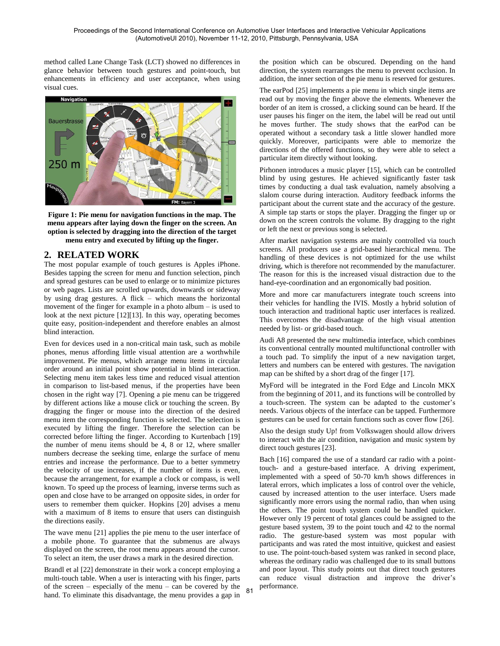method called Lane Change Task (LCT) showed no differences in glance behavior between touch gestures and point-touch, but enhancements in efficiency and user acceptance, when using visual cues.



**Figure 1: Pie menu for navigation functions in the map. The menu appears after laying down the finger on the screen. An option is selected by dragging into the direction of the target menu entry and executed by lifting up the finger.** 

## **2. RELATED WORK**

The most popular example of touch gestures is Apples iPhone. Besides tapping the screen for menu and function selection, pinch and spread gestures can be used to enlarge or to minimize pictures or web pages. Lists are scrolled upwards, downwards or sideway by using drag gestures. A flick – which means the horizontal movement of the finger for example in a photo album – is used to look at the next picture [\[12\]\[13\].](#page-7-2) In this way, operating becomes quite easy, position-independent and therefore enables an almost blind interaction.

Even for devices used in a non-critical main task, such as mobile phones, menus affording little visual attention are a worthwhile improvement. Pie menus, which arrange menu items in circular order around an initial point show potential in blind interaction. Selecting menu item takes less time and reduced visual attention in comparison to list-based menus, if the properties have been chosen in the right way [\[7\].](#page-7-3) Opening a pie menu can be triggered by different actions like a mouse click or touching the screen. By dragging the finger or mouse into the direction of the desired menu item the corresponding function is selected. The selection is executed by lifting the finger. Therefore the selection can be corrected before lifting the finger. According to Kurtenbach [\[19\]](#page-7-4) the number of menu items should be 4, 8 or 12, where smaller numbers decrease the seeking time, enlarge the surface of menu entries and increase the performance. Due to a better symmetry the velocity of use increases, if the number of items is even, because the arrangement, for example a clock or compass, is well known. To speed up the process of learning, inverse terms such as open and close have to be arranged on opposite sides, in order for users to remember them quicker. Hopkins [\[20\]](#page-7-5) advises a menu with a maximum of 8 items to ensure that users can distinguish the directions easily.

The wave menu [\[21\]](#page-7-6) applies the pie menu to the user interface of a mobile phone. To guarantee that the submenus are always displayed on the screen, the root menu appears around the cursor. To select an item, the user draws a mark in the desired direction.

Brandl et al [\[22\]](#page-7-7) demonstrate in their work a concept employing a multi-touch table. When a user is interacting with his finger, parts of the screen – especially of the menu – can be covered by the hand. To eliminate this disadvantage, the menu provides a gap in

81

the position which can be obscured. Depending on the hand direction, the system rearranges the menu to prevent occlusion. In addition, the inner section of the pie menu is reserved for gestures.

The earPod [\[25\]](#page-7-8) implements a pie menu in which single items are read out by moving the finger above the elements. Whenever the border of an item is crossed, a clicking sound can be heard. If the user pauses his finger on the item, the label will be read out until he moves further. The study shows that the earPod can be operated without a secondary task a little slower handled more quickly. Moreover, participants were able to memorize the directions of the offered functions, so they were able to select a particular item directly without looking.

Pirhonen introduces a music player [\[15\],](#page-7-9) which can be controlled blind by using gestures. He achieved significantly faster task times by conducting a dual task evaluation, namely absolving a slalom course during interaction. Auditory feedback informs the participant about the current state and the accuracy of the gesture. A simple tap starts or stops the player. Dragging the finger up or down on the screen controls the volume. By dragging to the right or left the next or previous song is selected.

After market navigation systems are mainly controlled via touch screens. All producers use a grid-based hierarchical menu. The handling of these devices is not optimized for the use whilst driving, which is therefore not recommended by the manufacturer. The reason for this is the increased visual distraction due to the hand-eye-coordination and an ergonomically bad position.

More and more car manufacturers integrate touch screens into their vehicles for handling the IVIS. Mostly a hybrid solution of touch interaction and traditional haptic user interfaces is realized. This overcomes the disadvantage of the high visual attention needed by list- or grid-based touch.

Audi A8 presented the new multimedia interface, which combines its conventional centrally mounted multifunctional controller with a touch pad. To simplify the input of a new navigation target, letters and numbers can be entered with gestures. The navigation map can be shifted by a short drag of the finge[r \[17\].](#page-7-1) 

MyFord will be integrated in the Ford Edge and Lincoln MKX from the beginning of 2011, and its functions will be controlled by a touch-screen. The system can be adapted to the customer's needs. Various objects of the interface can be tapped. Furthermore gestures can be used for certain functions such as cover flo[w \[26\].](#page-7-10) 

Also the design study Up! from Volkswagen should allow drivers to interact with the air condition, navigation and music system by direct touch gesture[s \[23\].](#page-7-11)

Bach [\[16\]](#page-7-12) compared the use of a standard car radio with a pointtouch- and a gesture-based interface. A driving experiment, implemented with a speed of 50-70 km/h shows differences in lateral errors, which implicates a loss of control over the vehicle, caused by increased attention to the user interface. Users made significantly more errors using the normal radio, than when using the others. The point touch system could be handled quicker. However only 19 percent of total glances could be assigned to the gesture based system, 39 to the point touch and 42 to the normal radio. The gesture-based system was most popular with participants and was rated the most intuitive, quickest and easiest to use. The point-touch-based system was ranked in second place, whereas the ordinary radio was challenged due to its small buttons and poor layout. This study points out that direct touch gestures can reduce visual distraction and improve the driver's performance.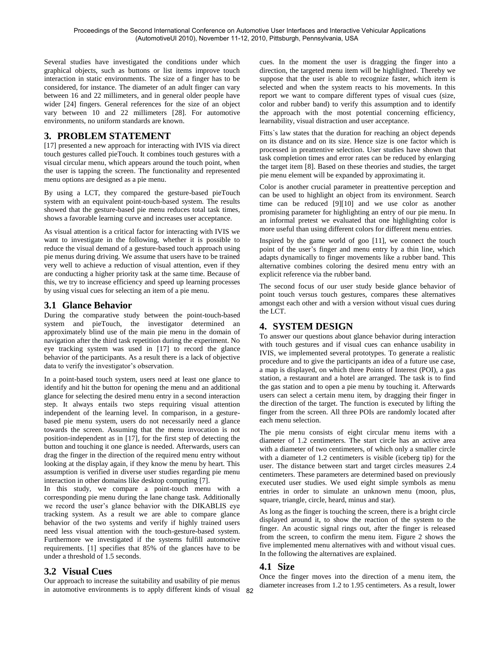Several studies have investigated the conditions under which graphical objects, such as buttons or list items improve touch interaction in static environments. The size of a finger has to be considered, for instance. The diameter of an adult finger can vary between 16 and 22 millimeters, and in general older people have wider [\[24\]](#page-7-13) fingers. General references for the size of an object vary between 10 and 22 millimeters [\[28\].](#page-7-14) For automotive environments, no uniform standards are known.

## **3. PROBLEM STATEMENT**

[\[17\]](#page-7-1) presented a new approach for interacting with IVIS via direct touch gestures called pieTouch. It combines touch gestures with a visual circular menu, which appears around the touch point, when the user is tapping the screen. The functionality and represented menu options are designed as a pie menu.

By using a LCT, they compared the gesture-based pieTouch system with an equivalent point-touch-based system. The results showed that the gesture-based pie menu reduces total task times, shows a favorable learning curve and increases user acceptance.

As visual attention is a critical factor for interacting with IVIS we want to investigate in the following, whether it is possible to reduce the visual demand of a gesture-based touch approach using pie menus during driving. We assume that users have to be trained very well to achieve a reduction of visual attention, even if they are conducting a higher priority task at the same time. Because of this, we try to increase efficiency and speed up learning processes by using visual cues for selecting an item of a pie menu.

## **3.1 Glance Behavior**

During the comparative study between the point-touch-based system and pieTouch, the investigator determined an approximately blind use of the main pie menu in the domain of navigation after the third task repetition during the experiment. No eye tracking system was used in [\[17\]](#page-7-1) to record the glance behavior of the participants. As a result there is a lack of objective data to verify the investigator's observation.

In a point-based touch system, users need at least one glance to identify and hit the button for opening the menu and an additional glance for selecting the desired menu entry in a second interaction step. It always entails two steps requiring visual attention independent of the learning level. In comparison, in a gesturebased pie menu system, users do not necessarily need a glance towards the screen. Assuming that the menu invocation is not position-independent as in [\[17\],](#page-7-1) for the first step of detecting the button and touching it one glance is needed. Afterwards, users can drag the finger in the direction of the required menu entry without looking at the display again, if they know the menu by heart. This assumption is verified in diverse user studies regarding pie menu interaction in other domains like desktop computin[g \[7\].](#page-7-3)

In this study, we compare a point-touch menu with a corresponding pie menu during the lane change task. Additionally we record the user's glance behavior with the DIKABLIS eye tracking system. As a result we are able to compare glance behavior of the two systems and verify if highly trained users need less visual attention with the touch-gesture-based system. Furthermore we investigated if the systems fulfill automotive requirements. [\[1\]](#page-6-0) specifies that 85% of the glances have to be under a threshold of 1.5 seconds.

## **3.2 Visual Cues**

Our approach to increase the suitability and usability of pie menus in automotive environments is to apply different kinds of visual 82 cues. In the moment the user is dragging the finger into a direction, the targeted menu item will be highlighted. Thereby we suppose that the user is able to recognize faster, which item is selected and when the system reacts to his movements. In this report we want to compare different types of visual cues (size, color and rubber band) to verify this assumption and to identify the approach with the most potential concerning efficiency, learnability, visual distraction and user acceptance.

Fitts`s law states that the duration for reaching an object depends on its distance and on its size. Hence size is one factor which is processed in preattentive selection. User studies have shown that task completion times and error rates can be reduced by enlarging the target item [\[8\].](#page-7-15) Based on these theories and studies, the target pie menu element will be expanded by approximating it.

Color is another crucial parameter in preattentive perception and can be used to highlight an object from its environment. Search time can be reduced [\[9\]\[10\]](#page-7-16) and we use color as another promising parameter for highlighting an entry of our pie menu. In an informal pretest we evaluated that one highlighting color is more useful than using different colors for different menu entries.

Inspired by the game world of goo [\[11\],](#page-7-17) we connect the touch point of the user's finger and menu entry by a thin line, which adapts dynamically to finger movements like a rubber band. This alternative combines coloring the desired menu entry with an explicit reference via the rubber band.

The second focus of our user study beside glance behavior of point touch versus touch gestures, compares these alternatives amongst each other and with a version without visual cues during the LCT.

# **4. SYSTEM DESIGN**

To answer our questions about glance behavior during interaction with touch gestures and if visual cues can enhance usability in IVIS, we implemented several prototypes. To generate a realistic procedure and to give the participants an idea of a future use case, a map is displayed, on which three Points of Interest (POI), a gas station, a restaurant and a hotel are arranged. The task is to find the gas station and to open a pie menu by touching it. Afterwards users can select a certain menu item, by dragging their finger in the direction of the target. The function is executed by lifting the finger from the screen. All three POIs are randomly located after each menu selection.

The pie menu consists of eight circular menu items with a diameter of 1.2 centimeters. The start circle has an active area with a diameter of two centimeters, of which only a smaller circle with a diameter of 1.2 centimeters is visible (iceberg tip) for the user. The distance between start and target circles measures 2.4 centimeters. These parameters are determined based on previously executed user studies. We used eight simple symbols as menu entries in order to simulate an unknown menu (moon, plus, square, triangle, circle, heard, minus and star).

As long as the finger is touching the screen, there is a bright circle displayed around it, to show the reaction of the system to the finger. An acoustic signal rings out, after the finger is released from the screen, to confirm the menu item. Figure 2 shows the five implemented menu alternatives with and without visual cues. In the following the alternatives are explained.

## **4.1 Size**

Once the finger moves into the direction of a menu item, the diameter increases from 1.2 to 1.95 centimeters. As a result, lower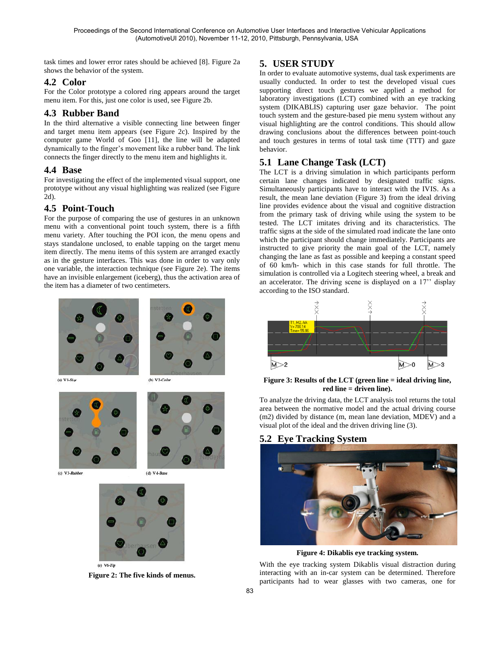task times and lower error rates should be achieved [\[8\].](#page-7-15) Figure 2a shows the behavior of the system.

## **4.2 Color**

For the Color prototype a colored ring appears around the target menu item. For this, just one color is used, see Figure 2b.

## **4.3 Rubber Band**

In the third alternative a visible connecting line between finger and target menu item appears (see Figure 2c). Inspired by the computer game World of Goo [\[11\],](#page-7-17) the line will be adapted dynamically to the finger's movement like a rubber band. The link connects the finger directly to the menu item and highlights it.

## **4.4 Base**

For investigating the effect of the implemented visual support, one prototype without any visual highlighting was realized (see Figure 2d).

# **4.5 Point-Touch**

For the purpose of comparing the use of gestures in an unknown menu with a conventional point touch system, there is a fifth menu variety. After touching the POI icon, the menu opens and stays standalone unclosed, to enable tapping on the target menu item directly. The menu items of this system are arranged exactly as in the gesture interfaces. This was done in order to vary only one variable, the interaction technique (see Figure 2e). The items have an invisible enlargement (iceberg), thus the activation area of the item has a diameter of two centimeters.



(a)  $V1-Size$ 



(c)  $V3-Rubble$ 



 $(d)$  V4-Bas



(e)  $V6-Tip$ **Figure 2: The five kinds of menus.** 

# **5. USER STUDY**

In order to evaluate automotive systems, dual task experiments are usually conducted. In order to test the developed visual cues supporting direct touch gestures we applied a method for laboratory investigations (LCT) combined with an eye tracking system (DIKABLIS) capturing user gaze behavior. The point touch system and the gesture-based pie menu system without any visual highlighting are the control conditions. This should allow drawing conclusions about the differences between point-touch and touch gestures in terms of total task time (TTT) and gaze behavior.

# **5.1 Lane Change Task (LCT)**

The LCT is a driving simulation in which participants perform certain lane changes indicated by designated traffic signs. Simultaneously participants have to interact with the IVIS. As a result, the mean lane deviation [\(Figure 3\)](#page-3-0) from the ideal driving line provides evidence about the visual and cognitive distraction from the primary task of driving while using the system to be tested. The LCT imitates driving and its characteristics. The traffic signs at the side of the simulated road indicate the lane onto which the participant should change immediately. Participants are instructed to give priority the main goal of the LCT, namely changing the lane as fast as possible and keeping a constant speed of 60 km/h- which in this case stands for full throttle. The simulation is controlled via a Logitech steering wheel, a break and an accelerator. The driving scene is displayed on a 17'' display according to the ISO standard.



<span id="page-3-0"></span>**Figure 3: Results of the LCT (green line = ideal driving line, red line = driven line).** 

To analyze the driving data, the LCT analysis tool returns the total area between the normative model and the actual driving course (m2) divided by distance (m, mean lane deviation, MDEV) and a visual plot of the ideal and the driven driving line (3).

## **5.2 Eye Tracking System**



**Figure 4: Dikablis eye tracking system.** 

<span id="page-3-1"></span>With the eye tracking system Dikablis visual distraction during interacting with an in-car system can be determined. Therefore participants had to wear glasses with two cameras, one for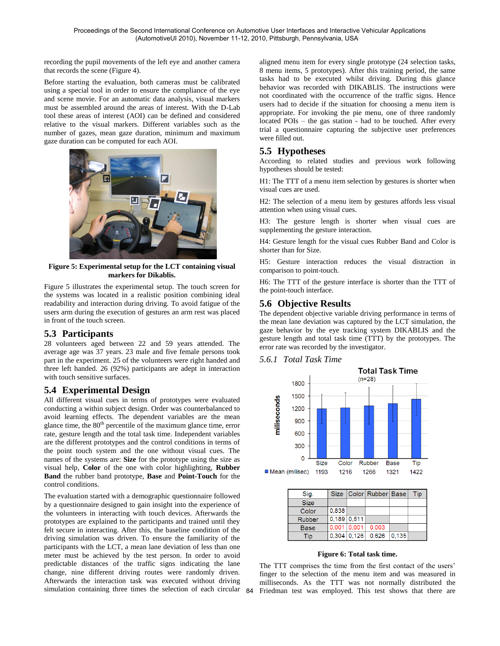recording the pupil movements of the left eye and another camera that records the scene [\(Figure 4\)](#page-3-1).

Before starting the evaluation, both cameras must be calibrated using a special tool in order to ensure the compliance of the eye and scene movie. For an automatic data analysis, visual markers must be assembled around the areas of interest. With the D-Lab tool these areas of interest (AOI) can be defined and considered relative to the visual markers. Different variables such as the number of gazes, mean gaze duration, minimum and maximum gaze duration can be computed for each AOI.



**Figure 5: Experimental setup for the LCT containing visual markers for Dikablis.** 

<span id="page-4-0"></span>[Figure 5](#page-4-0) illustrates the experimental setup. The touch screen for the systems was located in a realistic position combining ideal readability and interaction during driving. To avoid fatigue of the users arm during the execution of gestures an arm rest was placed in front of the touch screen.

## **5.3 Participants**

28 volunteers aged between 22 and 59 years attended. The average age was 37 years. 23 male and five female persons took part in the experiment. 25 of the volunteers were right handed and three left handed. 26 (92%) participants are adept in interaction with touch sensitive surfaces.

## **5.4 Experimental Design**

All different visual cues in terms of prototypes were evaluated conducting a within subject design. Order was counterbalanced to avoid learning effects. The dependent variables are the mean glance time, the  $80<sup>th</sup>$  percentile of the maximum glance time, error rate, gesture length and the total task time. Independent variables are the different prototypes and the control conditions in terms of the point touch system and the one without visual cues. The names of the systems are: **Size** for the prototype using the size as visual help, **Color** of the one with color highlighting, **Rubber Band** the rubber band prototype, **Base** and **Point-Touch** for the control conditions.

The evaluation started with a demographic questionnaire followed by a questionnaire designed to gain insight into the experience of the volunteers in interacting with touch devices. Afterwards the prototypes are explained to the participants and trained until they felt secure in interacting. After this, the baseline condition of the driving simulation was driven. To ensure the familiarity of the participants with the LCT, a mean lane deviation of less than one meter must be achieved by the test person. In order to avoid predictable distances of the traffic signs indicating the lane change, nine different driving routes were randomly driven. Afterwards the interaction task was executed without driving simulation containing three times the selection of each circular 84

aligned menu item for every single prototype (24 selection tasks, 8 menu items, 5 prototypes). After this training period, the same tasks had to be executed whilst driving. During this glance behavior was recorded with DIKABLIS. The instructions were not coordinated with the occurrence of the traffic signs. Hence users had to decide if the situation for choosing a menu item is appropriate. For invoking the pie menu, one of three randomly located POIs – the gas station - had to be touched. After every trial a questionnaire capturing the subjective user preferences were filled out.

## **5.5 Hypotheses**

According to related studies and previous work following hypotheses should be tested:

H1: The TTT of a menu item selection by gestures is shorter when visual cues are used.

H2: The selection of a menu item by gestures affords less visual attention when using visual cues.

H3: The gesture length is shorter when visual cues are supplementing the gesture interaction.

H4: Gesture length for the visual cues Rubber Band and Color is shorter than for Size.

H5: Gesture interaction reduces the visual distraction in comparison to point-touch.

H6: The TTT of the gesture interface is shorter than the TTT of the point-touch interface.

## **5.6 Objective Results**

The dependent objective variable driving performance in terms of the mean lane deviation was captured by the LCT simulation, the gaze behavior by the eye tracking system DIKABLIS and the gesture length and total task time (TTT) by the prototypes. The error rate was recorded by the investigator.

## *5.6.1 Total Task Time*



| Sig.          |               |               | Size   Color   Rubber   Base |       | Tip |
|---------------|---------------|---------------|------------------------------|-------|-----|
| <b>Size</b>   |               |               |                              |       |     |
| Color         | 0.838         |               |                              |       |     |
| <b>Rubber</b> | $0.189$ 0.511 |               |                              |       |     |
| <b>Base</b>   | $0.001$ 0.001 |               | 0.003                        |       |     |
| Tip           |               | $0.304$ 0.126 | 0.626                        | 0.135 |     |

#### **Figure 6: Total task time.**

<span id="page-4-1"></span>The TTT comprises the time from the first contact of the users' finger to the selection of the menu item and was measured in milliseconds. As the TTT was not normally distributed the Friedman test was employed. This test shows that there are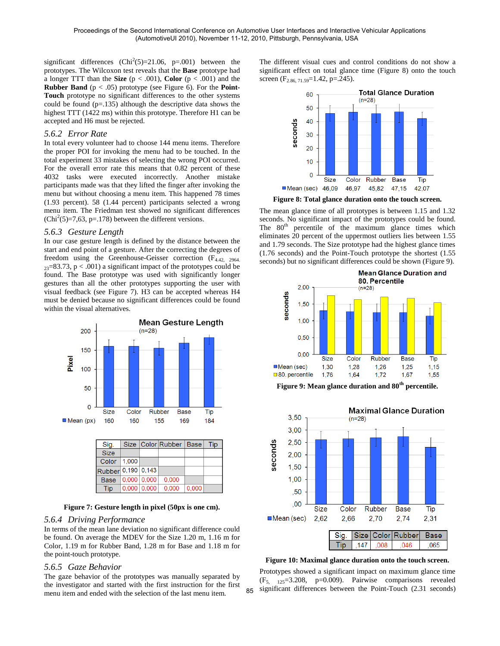significant differences  $(Chi^2(5)=21.06, p=.001)$  between the prototypes. The Wilcoxon test reveals that the **Base** prototype had a longer TTT than the **Size** ( $p < .001$ ), **Color** ( $p < .001$ ) and the **Rubber Band** (p < .05) prototype (see [Figure 6\)](#page-4-1). For the **Point-Touch** prototype no significant differences to the other systems could be found  $(p=135)$  although the descriptive data shows the highest TTT (1422 ms) within this prototype. Therefore H1 can be accepted and H6 must be rejected.

#### *5.6.2 Error Rate*

In total every volunteer had to choose 144 menu items. Therefore the proper POI for invoking the menu had to be touched. In the total experiment 33 mistakes of selecting the wrong POI occurred. For the overall error rate this means that 0.82 percent of these 4032 tasks were executed incorrectly. Another mistake participants made was that they lifted the finger after invoking the menu but without choosing a menu item. This happened 78 times (1.93 percent). 58 (1.44 percent) participants selected a wrong menu item. The Friedman test showed no significant differences  $(Chi<sup>2</sup>(5)=7,63, p=.178)$  between the different versions.

#### *5.6.3 Gesture Length*

In our case gesture length is defined by the distance between the start and end point of a gesture. After the correcting the degrees of freedom using the Greenhouse-Geisser correction  $(F_{4,42, 2964})$  $_{23}=83.73$ , p < .001) a significant impact of the prototypes could be found. The Base prototype was used with significantly longer gestures than all the other prototypes supporting the user with visual feedback (see [Figure 7\)](#page-5-0). H3 can be accepted whereas H4 must be denied because no significant differences could be found within the visual alternatives.



**Figure 7: Gesture length in pixel (50px is one cm).** 

### <span id="page-5-0"></span>*5.6.4 Driving Performance*

In terms of the mean lane deviation no significant difference could be found. On average the MDEV for the Size 1.20 m, 1.16 m for Color, 1.19 m for Rubber Band, 1.28 m for Base and 1.18 m for the point-touch prototype.

#### *5.6.5 Gaze Behavior*

The gaze behavior of the prototypes was manually separated by the investigator and started with the first instruction for the first menu item and ended with the selection of the last menu item.

85

The different visual cues and control conditions do not show a significant effect on total glance time [\(Figure 8\)](#page-5-1) onto the touch screen  $(F_{2.86, 71.59} = 1.42, p = .245)$ .



<span id="page-5-1"></span>**Figure 8: Total glance duration onto the touch screen.** 

The mean glance time of all prototypes is between 1.15 and 1.32 seconds. No significant impact of the prototypes could be found. The 80<sup>th</sup> percentile of the maximum glance times which eliminates 20 percent of the uppermost outliers lies between 1.55 and 1.79 seconds. The Size prototype had the highest glance times (1.76 seconds) and the Point-Touch prototype the shortest (1.55 seconds) but no significant differences could be shown [\(Figure 9\)](#page-5-2).



**Figure 9: Mean glance duration and 80th percentile.** 

<span id="page-5-2"></span>

<span id="page-5-3"></span>**Figure 10: Maximal glance duration onto the touch screen.** 

Prototypes showed a significant impact on maximum glance time  $(F<sub>5</sub>_{125}=3.208, p=0.009)$ . Pairwise comparisons revealed significant differences between the Point-Touch (2.31 seconds)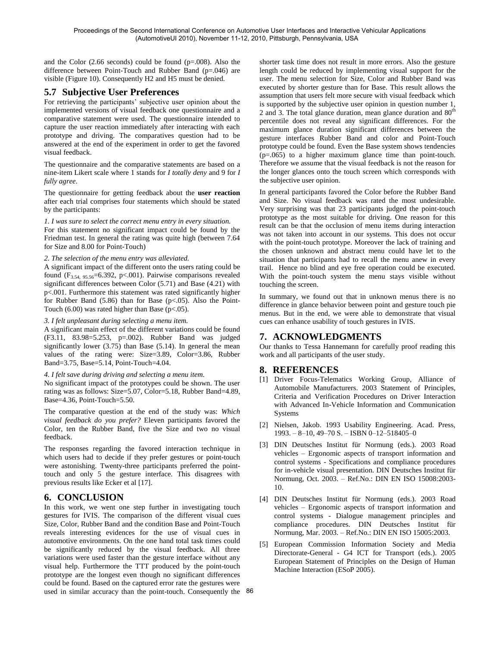and the Color (2.66 seconds) could be found (p=.008). Also the difference between Point-Touch and Rubber Band (p=.046) are visible [\(Figure 10\)](#page-5-3). Consequently H2 and H5 must be denied.

## **5.7 Subjective User Preferences**

For retrieving the participants' subjective user opinion about the implemented versions of visual feedback one questionnaire and a comparative statement were used. The questionnaire intended to capture the user reaction immediately after interacting with each prototype and driving. The comparatives question had to be answered at the end of the experiment in order to get the favored visual feedback.

The questionnaire and the comparative statements are based on a nine-item Likert scale where 1 stands for *I totally deny* and 9 for *I fully agree*.

The questionnaire for getting feedback about the **user reaction** after each trial comprises four statements which should be stated by the participants:

*1. I was sure to select the correct menu entry in every situation.* 

For this statement no significant impact could be found by the Friedman test. In general the rating was quite high (between 7.64 for Size and 8.00 for Point-Touch)

#### *2. The selection of the menu entry was alleviated.*

A significant impact of the different onto the users rating could be found  $(F_{3.54, 95.56} = 6.392$ , p<.001). Pairwise comparisons revealed significant differences between Color (5.71) and Base (4.21) with p<.001. Furthermore this statement was rated significantly higher for Rubber Band (5.86) than for Base (p<.05). Also the Point-Touch  $(6.00)$  was rated higher than Base  $(p<.05)$ .

#### *3. I felt unpleasant during selecting a menu item.*

A significant main effect of the different variations could be found (F3.11, 83.98=5.253, p=.002). Rubber Band was judged significantly lower (3.75) than Base (5.14). In general the mean values of the rating were: Size=3.89, Color=3.86, Rubber Band=3.75, Base=5.14, Point-Touch=4.04.

#### *4. I felt save during driving and selecting a menu item.*

No significant impact of the prototypes could be shown. The user rating was as follows: Size=5.07, Color=5.18, Rubber Band=4.89, Base=4.36, Point-Touch=5.50.

The comparative question at the end of the study was: *Which visual feedback do you prefer?* Eleven participants favored the Color, ten the Rubber Band, five the Size and two no visual feedback.

The responses regarding the favored interaction technique in which users had to decide if they prefer gestures or point-touch were astonishing. Twenty-three participants preferred the pointtouch and only 5 the gesture interface. This disagrees with previous results like Ecker et a[l \[17\].](#page-7-1) 

## **6. CONCLUSION**

In this work, we went one step further in investigating touch gestures for IVIS. The comparison of the different visual cues Size, Color, Rubber Band and the condition Base and Point-Touch reveals interesting evidences for the use of visual cues in automotive environments. On the one hand total task times could be significantly reduced by the visual feedback. All three variations were used faster than the gesture interface without any visual help. Furthermore the TTT produced by the point-touch prototype are the longest even though no significant differences could be found. Based on the captured error rate the gestures were used in similar accuracy than the point-touch. Consequently the 86

shorter task time does not result in more errors. Also the gesture length could be reduced by implementing visual support for the user. The menu selection for Size, Color and Rubber Band was executed by shorter gesture than for Base. This result allows the assumption that users felt more secure with visual feedback which is supported by the subjective user opinion in question number 1, 2 and 3. The total glance duration, mean glance duration and 80<sup>th</sup> percentile does not reveal any significant differences. For the maximum glance duration significant differences between the gesture interfaces Rubber Band and color and Point-Touch prototype could be found. Even the Base system shows tendencies (p=.065) to a higher maximum glance time than point-touch. Therefore we assume that the visual feedback is not the reason for the longer glances onto the touch screen which corresponds with the subjective user opinion.

In general participants favored the Color before the Rubber Band and Size. No visual feedback was rated the most undesirable. Very surprising was that 23 participants judged the point-touch prototype as the most suitable for driving. One reason for this result can be that the occlusion of menu items during interaction was not taken into account in our systems. This does not occur with the point-touch prototype. Moreover the lack of training and the chosen unknown and abstract menu could have let to the situation that participants had to recall the menu anew in every trail. Hence no blind and eye free operation could be executed. With the point-touch system the menu stays visible without touching the screen.

In summary, we found out that in unknown menus there is no difference in glance behavior between point and gesture touch pie menus. But in the end, we were able to demonstrate that visual cues can enhance usability of touch gestures in IVIS.

# **7. ACKNOWLEDGMENTS**

Our thanks to Tessa Hannemann for carefully proof reading this work and all participants of the user study.

# **8. REFERENCES**

- <span id="page-6-0"></span>[1] Driver Focus-Telematics Working Group, Alliance of Automobile Manufacturers. 2003 Statement of Principles, Criteria and Verification Procedures on Driver Interaction with Advanced In-Vehicle Information and Communication Systems
- <span id="page-6-1"></span>[2] Nielsen, Jakob. 1993 Usability Engineering. Acad. Press, 1993. – 8–10, 49–70 S. – ISBN 0–12–518405–0
- <span id="page-6-2"></span>[3] DIN Deutsches Institut für Normung (eds.). 2003 Road vehicles – Ergonomic aspects of transport information and control systems - Specifications and compliance procedures for in-vehicle visual presentation. DIN Deutsches Institut für Normung, Oct. 2003. – Ref.No.: DIN EN ISO 15008:2003- 10.
- [4] DIN Deutsches Institut für Normung (eds.). 2003 Road vehicles – Ergonomic aspects of transport information and control systems - Dialogue management principles and compliance procedures. DIN Deutsches Institut für Normung, Mar. 2003. – Ref.No.: DIN EN ISO 15005:2003.
- [5] European Commission Information Society and Media Directorate-General - G4 ICT for Transport (eds.). 2005 European Statement of Principles on the Design of Human Machine Interaction (ESoP 2005).